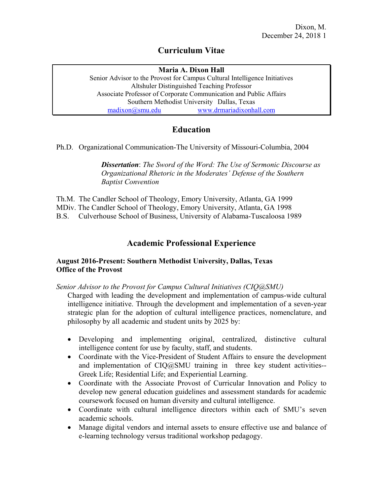## **Curriculum Vitae**

### **Maria A. Dixon Hall**

Senior Advisor to the Provost for Campus Cultural Intelligence Initiatives Altshuler Distinguished Teaching Professor Associate Professor of Corporate Communication and Public Affairs Southern Methodist University Dallas, Texas [madixon@smu.edu](mailto:madixon@smu.edu) [www.drmariadixonhall.com](http://www.drmariadixonhall.com/)

# **Education**

Ph.D. Organizational Communication-The University of Missouri-Columbia, 2004

*Dissertation*: *The Sword of the Word: The Use of Sermonic Discourse as Organizational Rhetoric in the Moderates' Defense of the Southern Baptist Convention*

Th.M. The Candler School of Theology, Emory University, Atlanta, GA 1999 MDiv. The Candler School of Theology, Emory University, Atlanta, GA 1998 B.S. Culverhouse School of Business, University of Alabama-Tuscaloosa 1989

# **Academic Professional Experience**

### **August 2016-Present: Southern Methodist University, Dallas, Texas Office of the Provost**

*Senior Advisor to the Provost for Campus Cultural Initiatives (CIQ@SMU)*

Charged with leading the development and implementation of campus-wide cultural intelligence initiative. Through the development and implementation of a seven-year strategic plan for the adoption of cultural intelligence practices, nomenclature, and philosophy by all academic and student units by 2025 by:

- Developing and implementing original, centralized, distinctive cultural intelligence content for use by faculty, staff, and students.
- Coordinate with the Vice-President of Student Affairs to ensure the development and implementation of CIQ@SMU training in three key student activities-- Greek Life; Residential Life; and Experiential Learning.
- Coordinate with the Associate Provost of Curricular Innovation and Policy to develop new general education guidelines and assessment standards for academic coursework focused on human diversity and cultural intelligence.
- Coordinate with cultural intelligence directors within each of SMU's seven academic schools.
- Manage digital vendors and internal assets to ensure effective use and balance of e-learning technology versus traditional workshop pedagogy.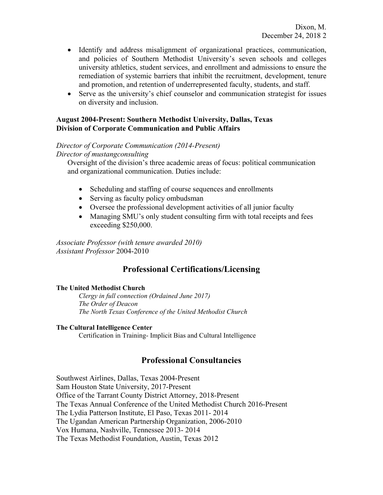- Identify and address misalignment of organizational practices, communication, and policies of Southern Methodist University's seven schools and colleges university athletics, student services, and enrollment and admissions to ensure the remediation of systemic barriers that inhibit the recruitment, development, tenure and promotion, and retention of underrepresented faculty, students, and staff.
- Serve as the university's chief counselor and communication strategist for issues on diversity and inclusion.

#### **August 2004-Present: Southern Methodist University, Dallas, Texas Division of Corporate Communication and Public Affairs**

#### *Director of Corporate Communication (2014-Present)*

*Director of mustangconsulting*

Oversight of the division's three academic areas of focus: political communication and organizational communication. Duties include:

- Scheduling and staffing of course sequences and enrollments
- Serving as faculty policy ombudsman
- Oversee the professional development activities of all junior faculty
- Managing SMU's only student consulting firm with total receipts and fees exceeding \$250,000.

*Associate Professor (with tenure awarded 2010) Assistant Professor* 2004-2010

# **Professional Certifications/Licensing**

#### **The United Methodist Church**

*Clergy in full connection (Ordained June 2017) The Order of Deacon The North Texas Conference of the United Methodist Church*

#### **The Cultural Intelligence Center**

Certification in Training- Implicit Bias and Cultural Intelligence

## **Professional Consultancies**

Southwest Airlines, Dallas, Texas 2004-Present Sam Houston State University, 2017-Present Office of the Tarrant County District Attorney, 2018-Present The Texas Annual Conference of the United Methodist Church 2016-Present The Lydia Patterson Institute, El Paso, Texas 2011- 2014 The Ugandan American Partnership Organization, 2006-2010 Vox Humana, Nashville, Tennessee 2013- 2014 The Texas Methodist Foundation, Austin, Texas 2012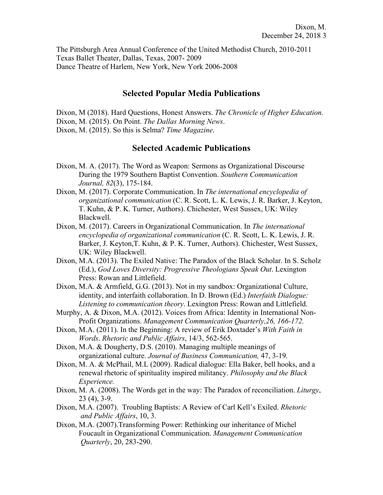The Pittsburgh Area Annual Conference of the United Methodist Church, 2010-2011 Texas Ballet Theater, Dallas, Texas, 2007- 2009 Dance Theatre of Harlem, New York, New York 2006-2008

### **Selected Popular Media Publications**

Dixon, M (2018). Hard Questions, Honest Answers. *The Chronicle of Higher Education.* Dixon, M. (2015). On Point. *The Dallas Morning News*. Dixon, M. (2015). So this is Selma? *Time Magazine*.

### **Selected Academic Publications**

- Dixon, M. A. (2017). The Word as Weapon: Sermons as Organizational Discourse During the 1979 Southern Baptist Convention. *Southern Communication Journal, 82*(3), 175-184.
- Dixon, M. (2017). Corporate Communication. In *The international encyclopedia of organizational communication* (C. R. Scott, L. K. Lewis, J. R. Barker, J. Keyton, T. Kuhn, & P. K. Turner, Authors). Chichester, West Sussex, UK: Wiley Blackwell.
- Dixon, M. (2017). Careers in Organizational Communication. In *The international encyclopedia of organizational communication* (C. R. Scott, L. K. Lewis, J. R. Barker, J. Keyton,T. Kuhn, & P. K. Turner, Authors). Chichester, West Sussex, UK: Wiley Blackwell.
- Dixon, M.A. (2013). The Exiled Native: The Paradox of the Black Scholar. In S. Scholz (Ed.), *God Loves Diversity: Progressive Theologians Speak Out*. Lexington Press: Rowan and Littlefield.
- Dixon, M.A. & Armfield, G.G. (2013). Not in my sandbox: Organizational Culture, identity, and interfaith collaboration. In D. Brown (Ed.) *Interfaith Dialogue: Listening to communication theory*. Lexington Press: Rowan and Littlefield.
- Murphy, A. & Dixon, M.A. (2012). Voices from Africa: Identity in International Non-Profit Organizations. *Management Communication Quarterly,26, 166-172.*
- Dixon, M.A. (2011). In the Beginning: A review of Erik Doxtader's *With Faith in Words*. *Rhetoric and Public Affairs*, 14/3, 562-565.
- Dixon, M.A. & Dougherty, D.S. (2010). Managing multiple meanings of organizational culture. *Journal of Business Communication,* 47, 3-19*.*
- Dixon, M. A. & McPhail, M.L (2009). Radical dialogue: Ella Baker, bell hooks, and a renewal rhetoric of spirituality inspired militancy. *Philosophy and the Black Experience.*
- Dixon, M. A. (2008). The Words get in the way: The Paradox of reconciliation. *Liturgy*, 23 (4), 3-9.
- Dixon, M.A. (2007). Troubling Baptists: A Review of Carl Kell's Exiled. *Rhetoric and Public Affairs*, 10, 3.
- Dixon, M.A. (2007).Transforming Power: Rethinking our inheritance of Michel Foucault in Organizational Communication. *Management Communication Quarterly*, 20, 283-290.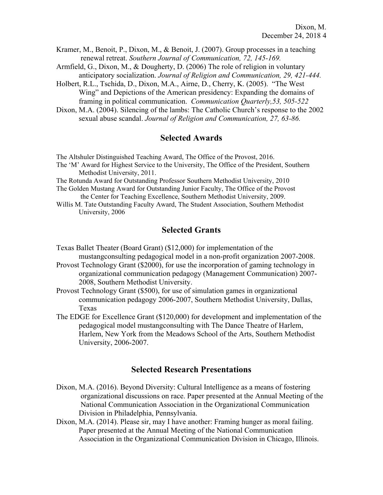- Kramer, M., Benoit, P., Dixon, M., & Benoit, J. (2007). Group processes in a teaching renewal retreat. *Southern Journal of Communication, 72, 145-169.*
- Armfield, G., Dixon, M., & Dougherty, D. (2006) The role of religion in voluntary anticipatory socialization. *Journal of Religion and Communication, 29, 421-444.*
- Holbert, R.L., Tschida, D., Dixon, M.A., Airne, D., Cherry, K. (2005). "The West Wing" and Depictions of the American presidency: Expanding the domains of framing in political communication. *Communication Quarterly,53, 505-522*
- Dixon, M.A. (2004). Silencing of the lambs: The Catholic Church's response to the 2002 sexual abuse scandal. *Journal of Religion and Communication, 27, 63-86.*

## **Selected Awards**

The Altshuler Distinguished Teaching Award, The Office of the Provost, 2016.

The 'M' Award for Highest Service to the University, The Office of the President, Southern Methodist University, 2011.

The Rotunda Award for Outstanding Professor Southern Methodist University, 2010

- The Golden Mustang Award for Outstanding Junior Faculty, The Office of the Provost the Center for Teaching Excellence, Southern Methodist University, 2009.
- Willis M. Tate Outstanding Faculty Award, The Student Association, Southern Methodist University, 2006

### **Selected Grants**

- Texas Ballet Theater (Board Grant) (\$12,000) for implementation of the mustangconsulting pedagogical model in a non-profit organization 2007-2008.
- Provost Technology Grant (\$2000), for use the incorporation of gaming technology in organizational communication pedagogy (Management Communication) 2007- 2008, Southern Methodist University.
- Provost Technology Grant (\$500), for use of simulation games in organizational communication pedagogy 2006-2007, Southern Methodist University, Dallas, Texas
- The EDGE for Excellence Grant (\$120,000) for development and implementation of the pedagogical model mustangconsulting with The Dance Theatre of Harlem, Harlem, New York from the Meadows School of the Arts, Southern Methodist University, 2006-2007.

## **Selected Research Presentations**

- Dixon, M.A. (2016). Beyond Diversity: Cultural Intelligence as a means of fostering organizational discussions on race. Paper presented at the Annual Meeting of the National Communication Association in the Organizational Communication Division in Philadelphia, Pennsylvania.
- Dixon, M.A. (2014). Please sir, may I have another: Framing hunger as moral failing. Paper presented at the Annual Meeting of the National Communication Association in the Organizational Communication Division in Chicago, Illinois.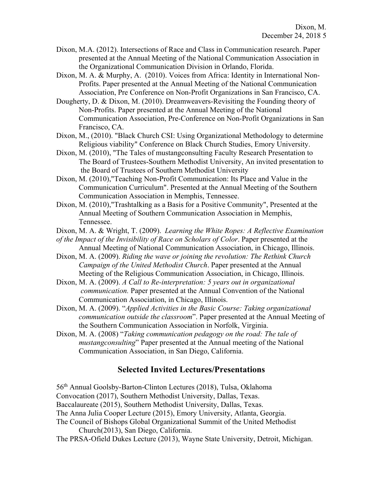- Dixon, M.A. (2012). Intersections of Race and Class in Communication research. Paper presented at the Annual Meeting of the National Communication Association in the Organizational Communication Division in Orlando, Florida.
- Dixon, M. A. & Murphy, A. (2010). Voices from Africa: Identity in International Non-Profits. Paper presented at the Annual Meeting of the National Communication Association, Pre Conference on Non-Profit Organizations in San Francisco, CA.
- Dougherty, D. & Dixon, M. (2010). Dreamweavers-Revisiting the Founding theory of Non-Profits. Paper presented at the Annual Meeting of the National Communication Association, Pre-Conference on Non-Profit Organizations in San Francisco, CA.
- Dixon, M., (2010). "Black Church CSI: Using Organizational Methodology to determine Religious viability" Conference on Black Church Studies, Emory University.
- Dixon, M. (2010), "The Tales of mustangconsulting Faculty Research Presentation to The Board of Trustees-Southern Methodist University, An invited presentation to the Board of Trustees of Southern Methodist University
- Dixon, M. (2010),"Teaching Non-Profit Communication: Its Place and Value in the Communication Curriculum". Presented at the Annual Meeting of the Southern Communication Association in Memphis, Tennessee.
- Dixon, M. (2010),"Trashtalking as a Basis for a Positive Community", Presented at the Annual Meeting of Southern Communication Association in Memphis, Tennessee.
- Dixon, M. A. & Wright, T. (2009). *Learning the White Ropes: A Reflective Examination*
- *of the Impact of the Invisibility of Race on Scholars of Color*. Paper presented at the Annual Meeting of National Communication Association, in Chicago, Illinois.
- Dixon, M. A. (2009). *Riding the wave or joining the revolution: The Rethink Church Campaign of the United Methodist Church*. Paper presented at the Annual Meeting of the Religious Communication Association, in Chicago, Illinois.
- Dixon, M. A. (2009). *A Call to Re-interpretation: 5 years out in organizational communication.* Paper presented at the Annual Convention of the National Communication Association, in Chicago, Illinois.
- Dixon, M. A. (2009). "*Applied Activities in the Basic Course: Taking organizational communication outside the classroom*". Paper presented at the Annual Meeting of the Southern Communication Association in Norfolk, Virginia.
- Dixon, M. A. (2008) "*Taking communication pedagogy on the road: The tale of mustangconsulting*" Paper presented at the Annual meeting of the National Communication Association, in San Diego, California.

# **Selected Invited Lectures/Presentations**

56th Annual Goolsby-Barton-Clinton Lectures (2018), Tulsa, Oklahoma Convocation (2017), Southern Methodist University, Dallas, Texas. Baccalaureate (2015), Southern Methodist University, Dallas, Texas. The Anna Julia Cooper Lecture (2015), Emory University, Atlanta, Georgia. The Council of Bishops Global Organizational Summit of the United Methodist

Church(2013), San Diego, California.

The PRSA-Ofield Dukes Lecture (2013), Wayne State University, Detroit, Michigan.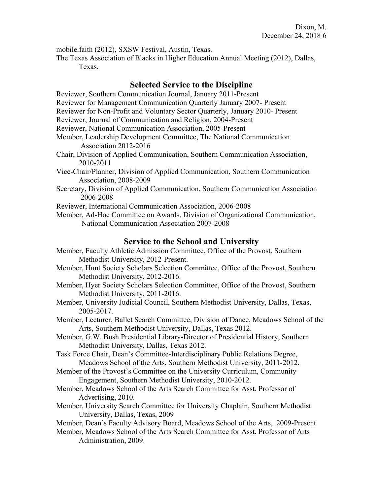mobile.faith (2012), SXSW Festival, Austin, Texas.

The Texas Association of Blacks in Higher Education Annual Meeting (2012), Dallas, Texas.

## **Selected Service to the Discipline**

- Reviewer, Southern Communication Journal, January 2011-Present
- Reviewer for Management Communication Quarterly January 2007- Present
- Reviewer for Non-Profit and Voluntary Sector Quarterly, January 2010- Present
- Reviewer, Journal of Communication and Religion, 2004-Present
- Reviewer, National Communication Association, 2005-Present
- Member, Leadership Development Committee, The National Communication Association 2012-2016
- Chair, Division of Applied Communication, Southern Communication Association, 2010-2011
- Vice-Chair/Planner, Division of Applied Communication, Southern Communication Association, 2008-2009
- Secretary, Division of Applied Communication, Southern Communication Association 2006-2008
- Reviewer, International Communication Association, 2006-2008
- Member, Ad-Hoc Committee on Awards, Division of Organizational Communication, National Communication Association 2007-2008

# **Service to the School and University**

- Member, Faculty Athletic Admission Committee, Office of the Provost, Southern Methodist University, 2012-Present.
- Member, Hunt Society Scholars Selection Committee, Office of the Provost, Southern Methodist University, 2012-2016.
- Member, Hyer Society Scholars Selection Committee, Office of the Provost, Southern Methodist University, 2011-2016.
- Member, University Judicial Council, Southern Methodist University, Dallas, Texas, 2005-2017.
- Member, Lecturer, Ballet Search Committee, Division of Dance, Meadows School of the Arts, Southern Methodist University, Dallas, Texas 2012.
- Member, G.W. Bush Presidential Library-Director of Presidential History, Southern Methodist University, Dallas, Texas 2012.
- Task Force Chair, Dean's Committee-Interdisciplinary Public Relations Degree, Meadows School of the Arts, Southern Methodist University, 2011-2012.
- Member of the Provost's Committee on the University Curriculum, Community Engagement, Southern Methodist University, 2010-2012.
- Member, Meadows School of the Arts Search Committee for Asst. Professor of Advertising, 2010.
- Member, University Search Committee for University Chaplain, Southern Methodist University, Dallas, Texas, 2009
- Member, Dean's Faculty Advisory Board, Meadows School of the Arts, 2009-Present
- Member, Meadows School of the Arts Search Committee for Asst. Professor of Arts Administration, 2009.